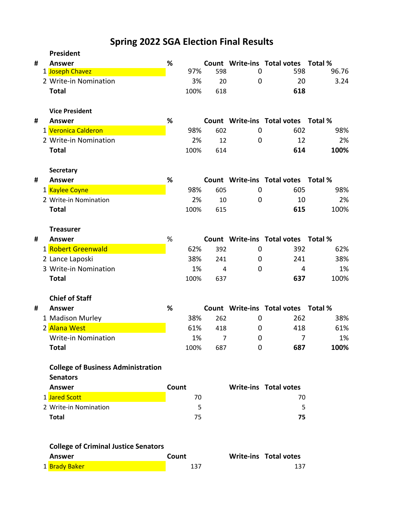# **Spring 2022 SGA Election Final Results**

|   | President                                   |       |      |                |             |                                     |       |
|---|---------------------------------------------|-------|------|----------------|-------------|-------------------------------------|-------|
| # | <b>Answer</b>                               | %     |      |                |             | Count Write-ins Total votes Total % |       |
|   | 1 Joseph Chavez                             |       | 97%  | 598            | 0           | 598                                 | 96.76 |
|   | 2 Write-in Nomination                       |       | 3%   | 20             | $\mathbf 0$ | 20                                  | 3.24  |
|   | <b>Total</b>                                |       | 100% | 618            |             | 618                                 |       |
|   | <b>Vice President</b>                       |       |      |                |             |                                     |       |
| # | <b>Answer</b>                               | %     |      |                |             | Count Write-ins Total votes Total % |       |
|   | 1 Veronica Calderon                         |       | 98%  | 602            | 0           | 602                                 | 98%   |
|   | 2 Write-in Nomination                       |       | 2%   | 12             | 0           | 12                                  | 2%    |
|   | <b>Total</b>                                |       | 100% | 614            |             | 614                                 | 100%  |
|   | <b>Secretary</b>                            |       |      |                |             |                                     |       |
| # | <b>Answer</b>                               | %     |      |                |             | Count Write-ins Total votes Total % |       |
|   | 1 Kaylee Coyne                              |       | 98%  | 605            | 0           | 605                                 | 98%   |
|   | 2 Write-in Nomination                       |       | 2%   | 10             | 0           | 10                                  | 2%    |
|   | <b>Total</b>                                |       | 100% | 615            |             | 615                                 | 100%  |
|   | <b>Treasurer</b>                            |       |      |                |             |                                     |       |
| # | <b>Answer</b>                               | %     |      |                |             | Count Write-ins Total votes Total % |       |
|   | 1 Robert Greenwald                          |       | 62%  | 392            | 0           | 392                                 | 62%   |
|   | 2 Lance Laposki                             |       | 38%  | 241            | 0           | 241                                 | 38%   |
|   | 3 Write-in Nomination                       |       | 1%   | 4              | 0           | 4                                   | 1%    |
|   | <b>Total</b>                                |       | 100% | 637            |             | 637                                 | 100%  |
|   | <b>Chief of Staff</b>                       |       |      |                |             |                                     |       |
| # | <b>Answer</b>                               | %     |      |                |             | Count Write-ins Total votes Total % |       |
|   | 1 Madison Murley                            |       | 38%  | 262            | 0           | 262                                 | 38%   |
|   | 2 Alana West                                |       | 61%  | 418            | 0           | 418                                 | 61%   |
|   | Write-in Nomination                         |       | 1%   | $\overline{7}$ | 0           | 7                                   | 1%    |
|   | <b>Total</b>                                |       | 100% | 687            | 0           | 687                                 | 100%  |
|   | <b>College of Business Administration</b>   |       |      |                |             |                                     |       |
|   | <b>Senators</b>                             |       |      |                |             |                                     |       |
|   | <b>Answer</b>                               | Count |      |                |             | <b>Write-ins Total votes</b>        |       |
|   | 1 Jared Scott                               |       | 70   |                |             | 70                                  |       |
|   | 2 Write-in Nomination                       |       | 5    |                |             | 5                                   |       |
|   | <b>Total</b>                                |       | 75   |                |             | 75                                  |       |
|   |                                             |       |      |                |             |                                     |       |
|   | <b>College of Criminal Justice Senators</b> |       |      |                |             |                                     |       |
|   | <b>Answer</b>                               | Count |      |                |             | Write-ins Total votes               |       |
|   | 1 Brady Baker                               |       | 137  |                |             | 137                                 |       |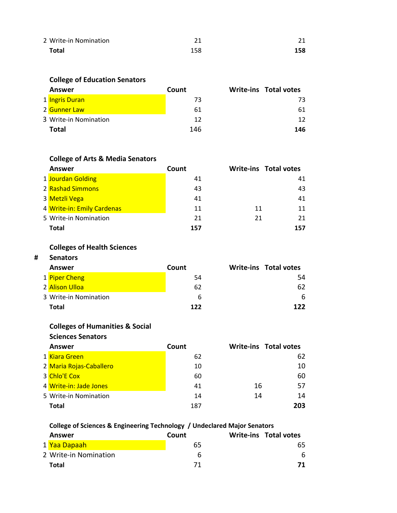| 2 Write-in Nomination |     | 21  |
|-----------------------|-----|-----|
| <b>Total</b>          | 158 | 158 |

#### **College of Education Senators**

| Answer                | Count | <b>Write-ins Total votes</b> |
|-----------------------|-------|------------------------------|
| 1 Ingris Duran        | 73    | 73                           |
| 2 Gunner Law          | 61    | 61                           |
| 3 Write-in Nomination | 12    | 12                           |
| Total                 | 146   | 146                          |

## **College of Arts & Media Senators**

| Answer                     | Count |    | <b>Write-ins Total votes</b> |
|----------------------------|-------|----|------------------------------|
| 1 Jourdan Golding          | 41    |    | 41                           |
| 2 Rashad Simmons           | 43    |    | 43                           |
| 3 Metzli Vega              | 41    |    | 41                           |
| 4 Write-in: Emily Cardenas | 11    | 11 | 11                           |
| 5 Write-in Nomination      | 21    | 21 | 21                           |
| Total                      | 157   |    | 157                          |

### **Colleges of Health Sciences**

#### **# Senators**

| Answer                | Count | <b>Write-ins Total votes</b> |
|-----------------------|-------|------------------------------|
| 1 Piper Cheng         | 54    | 54                           |
| 2 Alison Ulloa        | 62    | 62                           |
| 3 Write-in Nomination | b     | 6                            |
| <b>Total</b>          | 122   | 177                          |

#### **Colleges of Humanities & Social**

| <b>Sciences Senators</b> |       |                              |     |
|--------------------------|-------|------------------------------|-----|
| Answer                   | Count | <b>Write-ins Total votes</b> |     |
| 1 Kiara Green            | 62    |                              | 62  |
| 2 Maria Rojas-Caballero  | 10    |                              | 10  |
| 3 Chlo'E Cox             | 60    |                              | 60  |
| 4 Write-in: Jade Jones   | 41    | 16                           | 57  |
| 5 Write-in Nomination    | 14    | 14                           | 14  |
| Total                    | 187   |                              | 203 |

#### **College of Sciences & Engineering Technology / Undeclared Major Senators**

| Answer                    | Count | Write-ins Total votes |
|---------------------------|-------|-----------------------|
| 1 <mark>Yaa Dapaah</mark> | 65    | 65                    |
| 2 Write-in Nomination     |       | 6                     |
| Total                     | 71    | 71                    |